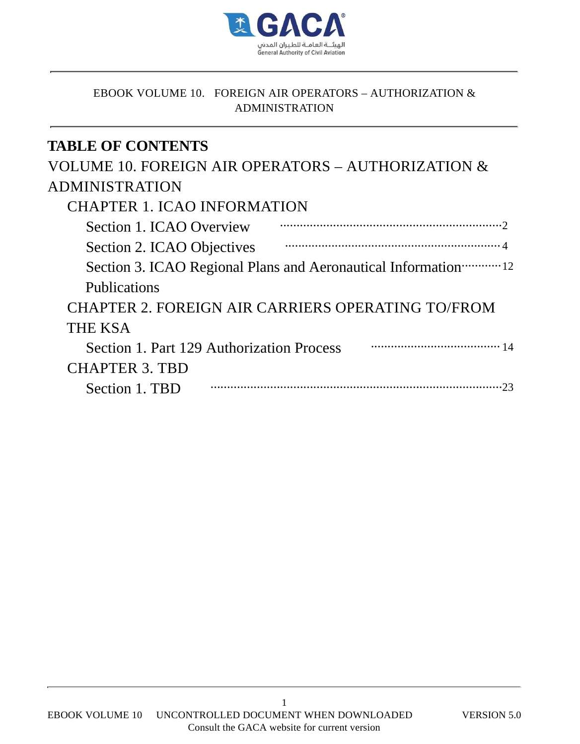

# **TABLE OF CONTENTS** VOLUME 10. FOREIGN AIR OPERATORS – AUTHORIZATION & ADMINISTRATION CHAPTER 1. ICAO INFORMATION Section 1. ICAO Overview Section 2. ICAO Objectives Section 3. ICAO Regional Plans and Aeronautical Information……….. 12 Publications CHAPTER 2. FOREIGN AIR CARRIERS OPERATING TO/FROM THE KSA Section 1. Part 129 Authorization Process CHAPTER 3. TBD Section 1. TBD ........................................................................................23 ....................................... 14 ................................................................. 4 ...................................................................2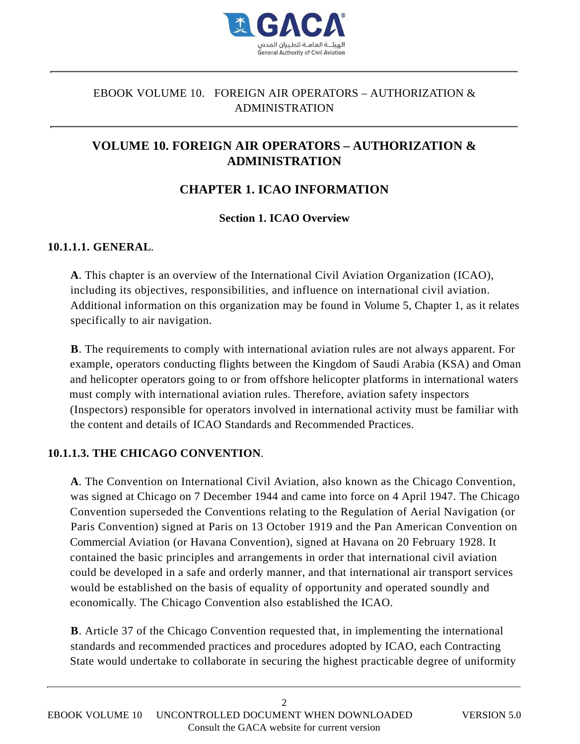

# **VOLUME 10. FOREIGN AIR OPERATORS – AUTHORIZATION & ADMINISTRATION**

## **CHAPTER 1. ICAO INFORMATION**

### **Section 1. ICAO Overview**

#### **10.1.1.1. GENERAL**.

**A**. This chapter is an overview of the International Civil Aviation Organization (ICAO), including its objectives, responsibilities, and influence on international civil aviation. Additional information on this organization may be found in Volume 5, Chapter 1, as it relates specifically to air navigation.

**B**. The requirements to comply with international aviation rules are not always apparent. For example, operators conducting flights between the Kingdom of Saudi Arabia (KSA) and Oman and helicopter operators going to or from offshore helicopter platforms in international waters must comply with international aviation rules. Therefore, aviation safety inspectors (Inspectors) responsible for operators involved in international activity must be familiar with the content and details of ICAO Standards and Recommended Practices.

#### **10.1.1.3. THE CHICAGO CONVENTION**.

**A**. The Convention on International Civil Aviation, also known as the Chicago Convention, was signed at Chicago on 7 December 1944 and came into force on 4 April 1947. The Chicago Convention superseded the Conventions relating to the Regulation of Aerial Navigation (or Paris Convention) signed at Paris on 13 October 1919 and the Pan American Convention on Commercial Aviation (or Havana Convention), signed at Havana on 20 February 1928. It contained the basic principles and arrangements in order that international civil aviation could be developed in a safe and orderly manner, and that international air transport services would be established on the basis of equality of opportunity and operated soundly and economically. The Chicago Convention also established the ICAO.

**B**. Article 37 of the Chicago Convention requested that, in implementing the international standards and recommended practices and procedures adopted by ICAO, each Contracting State would undertake to collaborate in securing the highest practicable degree of uniformity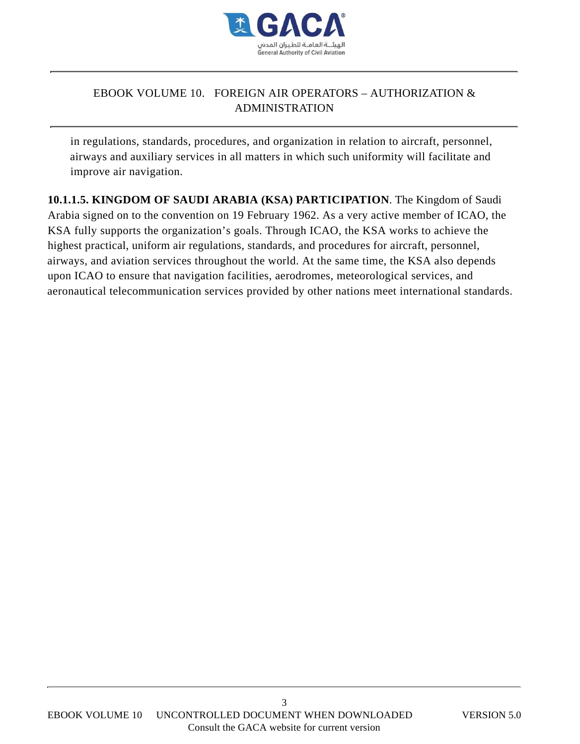

in regulations, standards, procedures, and organization in relation to aircraft, personnel, airways and auxiliary services in all matters in which such uniformity will facilitate and improve air navigation.

**10.1.1.5. KINGDOM OF SAUDI ARABIA (KSA) PARTICIPATION**. The Kingdom of Saudi Arabia signed on to the convention on 19 February 1962. As a very active member of ICAO, the KSA fully supports the organization's goals. Through ICAO, the KSA works to achieve the highest practical, uniform air regulations, standards, and procedures for aircraft, personnel, airways, and aviation services throughout the world. At the same time, the KSA also depends upon ICAO to ensure that navigation facilities, aerodromes, meteorological services, and aeronautical telecommunication services provided by other nations meet international standards.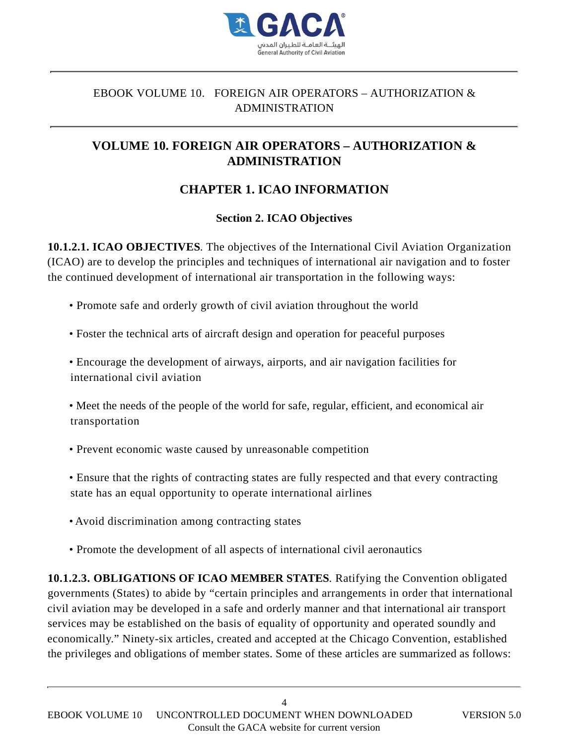

# **VOLUME 10. FOREIGN AIR OPERATORS – AUTHORIZATION & ADMINISTRATION**

# **CHAPTER 1. ICAO INFORMATION**

#### **Section 2. ICAO Objectives**

**10.1.2.1. ICAO OBJECTIVES**. The objectives of the International Civil Aviation Organization (ICAO) are to develop the principles and techniques of international air navigation and to foster the continued development of international air transportation in the following ways:

- Promote safe and orderly growth of civil aviation throughout the world
- Foster the technical arts of aircraft design and operation for peaceful purposes

• Encourage the development of airways, airports, and air navigation facilities for international civil aviation

• Meet the needs of the people of the world for safe, regular, efficient, and economical air transportation

- Prevent economic waste caused by unreasonable competition
- Ensure that the rights of contracting states are fully respected and that every contracting state has an equal opportunity to operate international airlines
- Avoid discrimination among contracting states
- Promote the development of all aspects of international civil aeronautics

**10.1.2.3. OBLIGATIONS OF ICAO MEMBER STATES**. Ratifying the Convention obligated governments (States) to abide by "certain principles and arrangements in order that international civil aviation may be developed in a safe and orderly manner and that international air transport services may be established on the basis of equality of opportunity and operated soundly and economically." Ninety-six articles, created and accepted at the Chicago Convention, established the privileges and obligations of member states. Some of these articles are summarized as follows: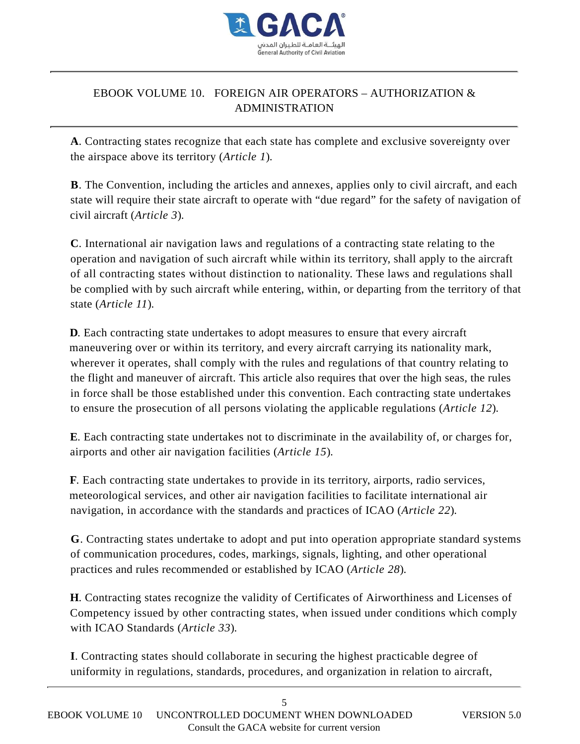

**A**. Contracting states recognize that each state has complete and exclusive sovereignty over the airspace above its territory (*Article 1*).

**B**. The Convention, including the articles and annexes, applies only to civil aircraft, and each state will require their state aircraft to operate with "due regard" for the safety of navigation of civil aircraft (*Article 3*).

**C**. International air navigation laws and regulations of a contracting state relating to the operation and navigation of such aircraft while within its territory, shall apply to the aircraft of all contracting states without distinction to nationality. These laws and regulations shall be complied with by such aircraft while entering, within, or departing from the territory of that state (*Article 11*).

**D**. Each contracting state undertakes to adopt measures to ensure that every aircraft maneuvering over or within its territory, and every aircraft carrying its nationality mark, wherever it operates, shall comply with the rules and regulations of that country relating to the flight and maneuver of aircraft. This article also requires that over the high seas, the rules in force shall be those established under this convention. Each contracting state undertakes to ensure the prosecution of all persons violating the applicable regulations (*Article 12*).

**E**. Each contracting state undertakes not to discriminate in the availability of, or charges for, airports and other air navigation facilities (*Article 15*).

**F**. Each contracting state undertakes to provide in its territory, airports, radio services, meteorological services, and other air navigation facilities to facilitate international air navigation, in accordance with the standards and practices of ICAO (*Article 22*).

**G**. Contracting states undertake to adopt and put into operation appropriate standard systems of communication procedures, codes, markings, signals, lighting, and other operational practices and rules recommended or established by ICAO (*Article 28*).

**H**. Contracting states recognize the validity of Certificates of Airworthiness and Licenses of Competency issued by other contracting states, when issued under conditions which comply with ICAO Standards (*Article 33*).

**I**. Contracting states should collaborate in securing the highest practicable degree of uniformity in regulations, standards, procedures, and organization in relation to aircraft,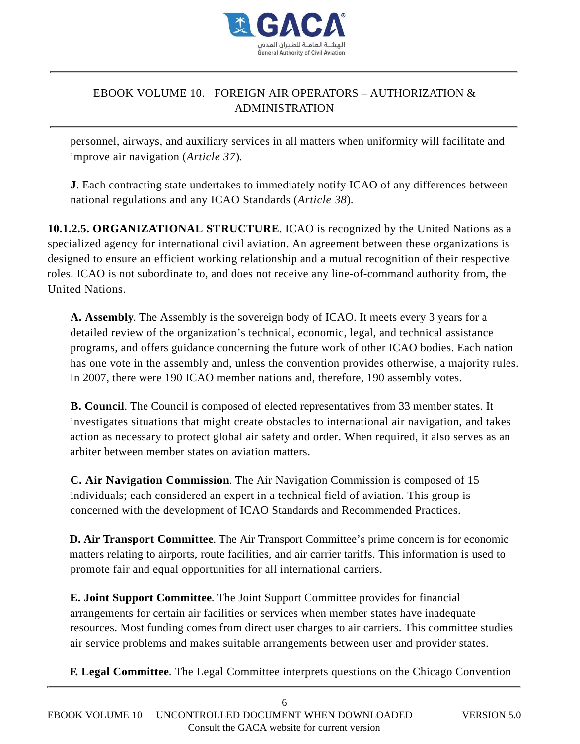

personnel, airways, and auxiliary services in all matters when uniformity will facilitate and improve air navigation (*Article 37*).

**J**. Each contracting state undertakes to immediately notify ICAO of any differences between national regulations and any ICAO Standards (*Article 38*).

**10.1.2.5. ORGANIZATIONAL STRUCTURE**. ICAO is recognized by the United Nations as a specialized agency for international civil aviation. An agreement between these organizations is designed to ensure an efficient working relationship and a mutual recognition of their respective roles. ICAO is not subordinate to, and does not receive any line-of-command authority from, the United Nations.

**A. Assembly**. The Assembly is the sovereign body of ICAO. It meets every 3 years for a detailed review of the organization's technical, economic, legal, and technical assistance programs, and offers guidance concerning the future work of other ICAO bodies. Each nation has one vote in the assembly and, unless the convention provides otherwise, a majority rules. In 2007, there were 190 ICAO member nations and, therefore, 190 assembly votes.

**B. Council**. The Council is composed of elected representatives from 33 member states. It investigates situations that might create obstacles to international air navigation, and takes action as necessary to protect global air safety and order. When required, it also serves as an arbiter between member states on aviation matters.

**C. Air Navigation Commission**. The Air Navigation Commission is composed of 15 individuals; each considered an expert in a technical field of aviation. This group is concerned with the development of ICAO Standards and Recommended Practices.

**D. Air Transport Committee**. The Air Transport Committee's prime concern is for economic matters relating to airports, route facilities, and air carrier tariffs. This information is used to promote fair and equal opportunities for all international carriers.

**E. Joint Support Committee**. The Joint Support Committee provides for financial arrangements for certain air facilities or services when member states have inadequate resources. Most funding comes from direct user charges to air carriers. This committee studies air service problems and makes suitable arrangements between user and provider states.

**F. Legal Committee**. The Legal Committee interprets questions on the Chicago Convention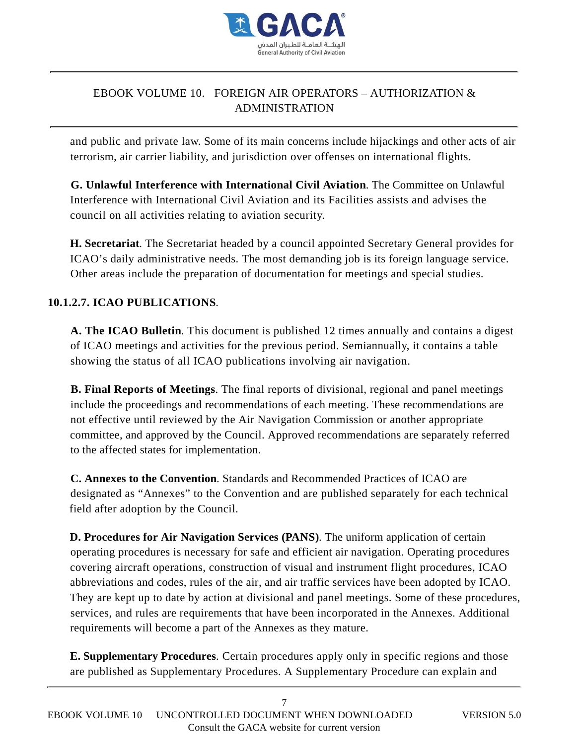

and public and private law. Some of its main concerns include hijackings and other acts of air terrorism, air carrier liability, and jurisdiction over offenses on international flights.

**G. Unlawful Interference with International Civil Aviation**. The Committee on Unlawful Interference with International Civil Aviation and its Facilities assists and advises the council on all activities relating to aviation security.

**H. Secretariat**. The Secretariat headed by a council appointed Secretary General provides for ICAO's daily administrative needs. The most demanding job is its foreign language service. Other areas include the preparation of documentation for meetings and special studies.

### **10.1.2.7. ICAO PUBLICATIONS**.

**A. The ICAO Bulletin**. This document is published 12 times annually and contains a digest of ICAO meetings and activities for the previous period. Semiannually, it contains a table showing the status of all ICAO publications involving air navigation.

**B. Final Reports of Meetings**. The final reports of divisional, regional and panel meetings include the proceedings and recommendations of each meeting. These recommendations are not effective until reviewed by the Air Navigation Commission or another appropriate committee, and approved by the Council. Approved recommendations are separately referred to the affected states for implementation.

**C. Annexes to the Convention**. Standards and Recommended Practices of ICAO are designated as "Annexes" to the Convention and are published separately for each technical field after adoption by the Council.

**D. Procedures for Air Navigation Services (PANS)**. The uniform application of certain operating procedures is necessary for safe and efficient air navigation. Operating procedures covering aircraft operations, construction of visual and instrument flight procedures, ICAO abbreviations and codes, rules of the air, and air traffic services have been adopted by ICAO. They are kept up to date by action at divisional and panel meetings. Some of these procedures, services, and rules are requirements that have been incorporated in the Annexes. Additional requirements will become a part of the Annexes as they mature.

**E. Supplementary Procedures**. Certain procedures apply only in specific regions and those are published as Supplementary Procedures. A Supplementary Procedure can explain and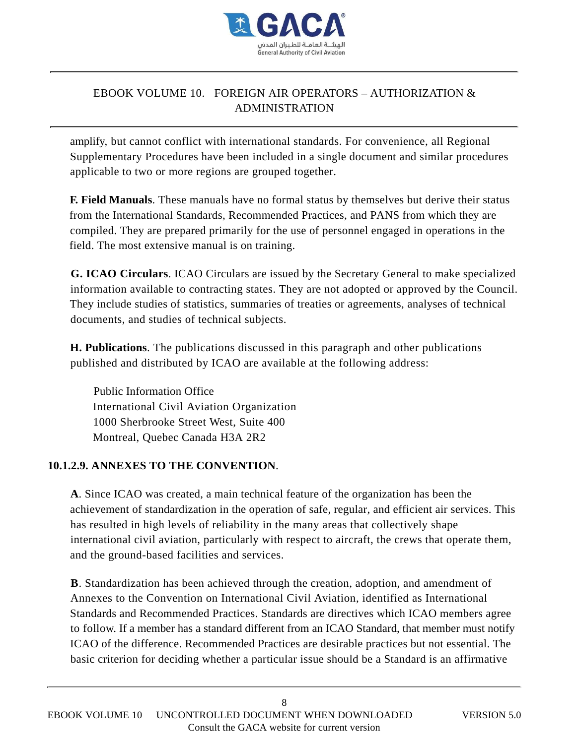

amplify, but cannot conflict with international standards. For convenience, all Regional Supplementary Procedures have been included in a single document and similar procedures applicable to two or more regions are grouped together.

**F. Field Manuals**. These manuals have no formal status by themselves but derive their status from the International Standards, Recommended Practices, and PANS from which they are compiled. They are prepared primarily for the use of personnel engaged in operations in the field. The most extensive manual is on training.

**G. ICAO Circulars**. ICAO Circulars are issued by the Secretary General to make specialized information available to contracting states. They are not adopted or approved by the Council. They include studies of statistics, summaries of treaties or agreements, analyses of technical documents, and studies of technical subjects.

**H. Publications**. The publications discussed in this paragraph and other publications published and distributed by ICAO are available at the following address:

Public Information Office International Civil Aviation Organization 1000 Sherbrooke Street West, Suite 400 Montreal, Quebec Canada H3A 2R2

#### **10.1.2.9. ANNEXES TO THE CONVENTION**.

**A**. Since ICAO was created, a main technical feature of the organization has been the achievement of standardization in the operation of safe, regular, and efficient air services. This has resulted in high levels of reliability in the many areas that collectively shape international civil aviation, particularly with respect to aircraft, the crews that operate them, and the ground-based facilities and services.

**B**. Standardization has been achieved through the creation, adoption, and amendment of Annexes to the Convention on International Civil Aviation, identified as International Standards and Recommended Practices. Standards are directives which ICAO members agree to follow. If a member has a standard different from an ICAO Standard, that member must notify ICAO of the difference. Recommended Practices are desirable practices but not essential. The basic criterion for deciding whether a particular issue should be a Standard is an affirmative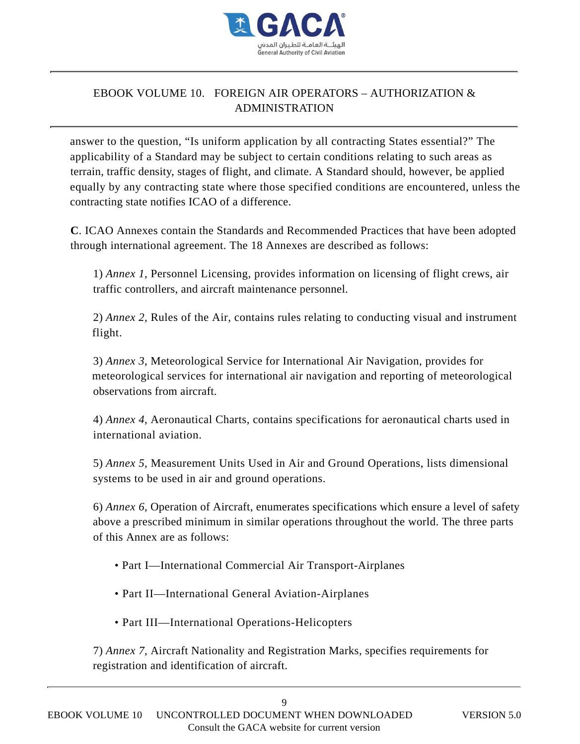

answer to the question, "Is uniform application by all contracting States essential?" The applicability of a Standard may be subject to certain conditions relating to such areas as terrain, traffic density, stages of flight, and climate. A Standard should, however, be applied equally by any contracting state where those specified conditions are encountered, unless the contracting state notifies ICAO of a difference.

**C**. ICAO Annexes contain the Standards and Recommended Practices that have been adopted through international agreement. The 18 Annexes are described as follows:

1) *Annex 1*, Personnel Licensing, provides information on licensing of flight crews, air traffic controllers, and aircraft maintenance personnel.

2) *Annex 2*, Rules of the Air, contains rules relating to conducting visual and instrument flight.

3) *Annex 3*, Meteorological Service for International Air Navigation, provides for meteorological services for international air navigation and reporting of meteorological observations from aircraft.

4) *Annex 4*, Aeronautical Charts, contains specifications for aeronautical charts used in international aviation.

5) *Annex 5*, Measurement Units Used in Air and Ground Operations, lists dimensional systems to be used in air and ground operations.

6) *Annex 6*, Operation of Aircraft, enumerates specifications which ensure a level of safety above a prescribed minimum in similar operations throughout the world. The three parts of this Annex are as follows:

- Part I—International Commercial Air Transport-Airplanes
- Part II—International General Aviation-Airplanes
- Part III—International Operations-Helicopters

7) *Annex 7*, Aircraft Nationality and Registration Marks, specifies requirements for registration and identification of aircraft.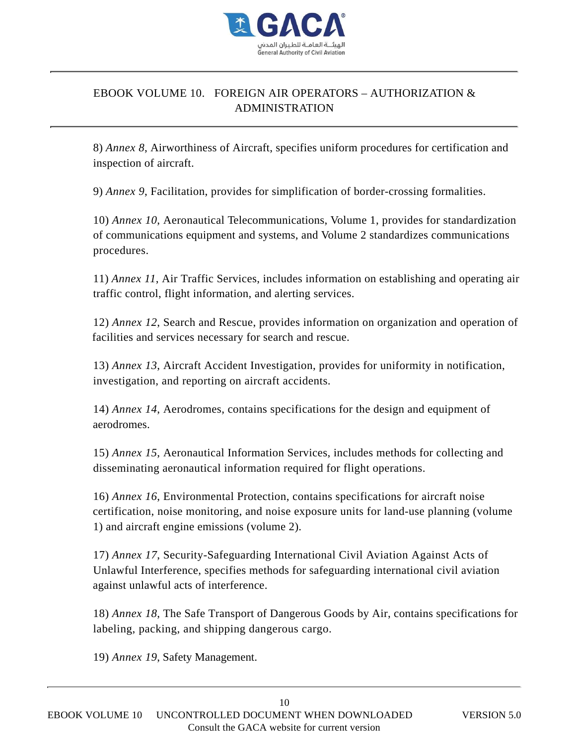

8) *Annex 8*, Airworthiness of Aircraft, specifies uniform procedures for certification and inspection of aircraft.

9) *Annex 9*, Facilitation, provides for simplification of border-crossing formalities.

10) *Annex 10*, Aeronautical Telecommunications, Volume 1, provides for standardization of communications equipment and systems, and Volume 2 standardizes communications procedures.

11) *Annex 11*, Air Traffic Services, includes information on establishing and operating air traffic control, flight information, and alerting services.

12) *Annex 12*, Search and Rescue, provides information on organization and operation of facilities and services necessary for search and rescue.

13) *Annex 13*, Aircraft Accident Investigation, provides for uniformity in notification, investigation, and reporting on aircraft accidents.

14) *Annex 14*, Aerodromes, contains specifications for the design and equipment of aerodromes.

15) *Annex 15*, Aeronautical Information Services, includes methods for collecting and disseminating aeronautical information required for flight operations.

16) *Annex 16*, Environmental Protection, contains specifications for aircraft noise certification, noise monitoring, and noise exposure units for land-use planning (volume 1) and aircraft engine emissions (volume 2).

17) *Annex 17*, Security-Safeguarding International Civil Aviation Against Acts of Unlawful Interference, specifies methods for safeguarding international civil aviation against unlawful acts of interference.

18) *Annex 18*, The Safe Transport of Dangerous Goods by Air, contains specifications for labeling, packing, and shipping dangerous cargo.

19) *Annex 19*, Safety Management.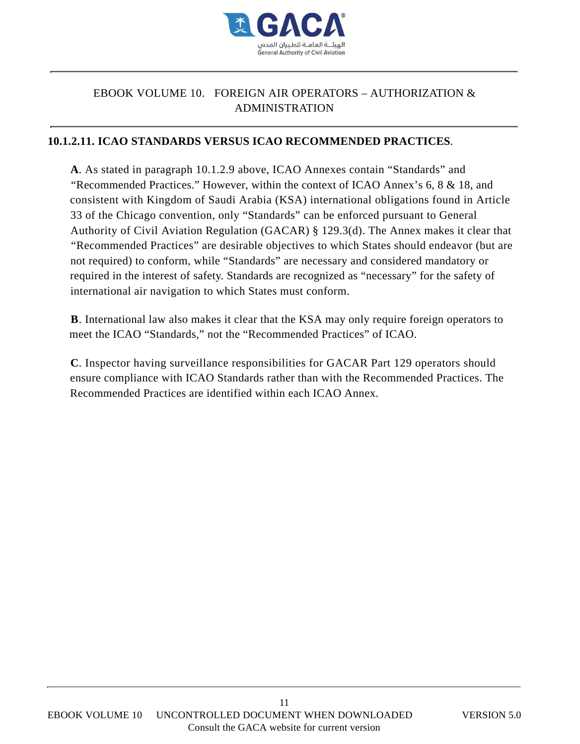

#### **10.1.2.11. ICAO STANDARDS VERSUS ICAO RECOMMENDED PRACTICES**.

**A**. As stated in paragraph 10.1.2.9 above, ICAO Annexes contain "Standards" and "Recommended Practices." However, within the context of ICAO Annex's 6, 8 & 18, and consistent with Kingdom of Saudi Arabia (KSA) international obligations found in Article 33 of the Chicago convention, only "Standards" can be enforced pursuant to General Authority of Civil Aviation Regulation (GACAR) § 129.3(d). The Annex makes it clear that "Recommended Practices" are desirable objectives to which States should endeavor (but are not required) to conform, while "Standards" are necessary and considered mandatory or required in the interest of safety. Standards are recognized as "necessary" for the safety of international air navigation to which States must conform.

**B**. International law also makes it clear that the KSA may only require foreign operators to meet the ICAO "Standards," not the "Recommended Practices" of ICAO.

**C**. Inspector having surveillance responsibilities for GACAR Part 129 operators should ensure compliance with ICAO Standards rather than with the Recommended Practices. The Recommended Practices are identified within each ICAO Annex.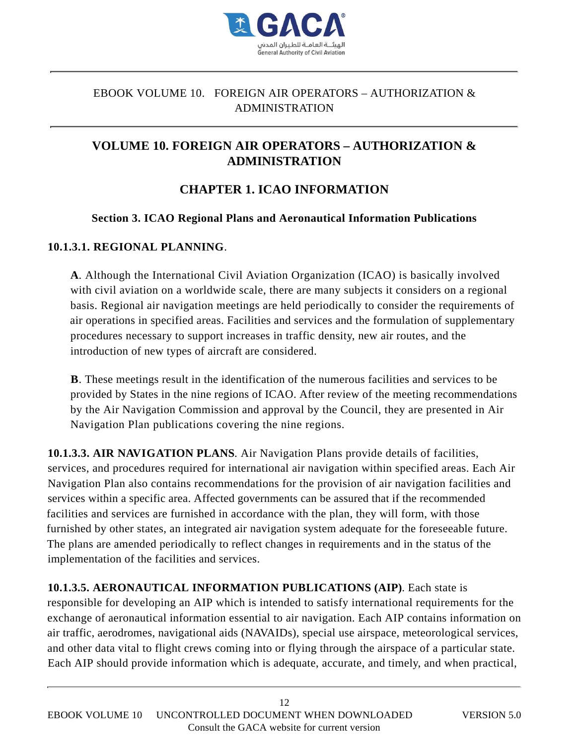

# **VOLUME 10. FOREIGN AIR OPERATORS – AUTHORIZATION & ADMINISTRATION**

# **CHAPTER 1. ICAO INFORMATION**

#### **Section 3. ICAO Regional Plans and Aeronautical Information Publications**

#### **10.1.3.1. REGIONAL PLANNING**.

**A**. Although the International Civil Aviation Organization (ICAO) is basically involved with civil aviation on a worldwide scale, there are many subjects it considers on a regional basis. Regional air navigation meetings are held periodically to consider the requirements of air operations in specified areas. Facilities and services and the formulation of supplementary procedures necessary to support increases in traffic density, new air routes, and the introduction of new types of aircraft are considered.

**B**. These meetings result in the identification of the numerous facilities and services to be provided by States in the nine regions of ICAO. After review of the meeting recommendations by the Air Navigation Commission and approval by the Council, they are presented in Air Navigation Plan publications covering the nine regions.

**10.1.3.3. AIR NAVIGATION PLANS**. Air Navigation Plans provide details of facilities, services, and procedures required for international air navigation within specified areas. Each Air Navigation Plan also contains recommendations for the provision of air navigation facilities and services within a specific area. Affected governments can be assured that if the recommended facilities and services are furnished in accordance with the plan, they will form, with those furnished by other states, an integrated air navigation system adequate for the foreseeable future. The plans are amended periodically to reflect changes in requirements and in the status of the implementation of the facilities and services.

**10.1.3.5. AERONAUTICAL INFORMATION PUBLICATIONS (AIP)**. Each state is responsible for developing an AIP which is intended to satisfy international requirements for the exchange of aeronautical information essential to air navigation. Each AIP contains information on air traffic, aerodromes, navigational aids (NAVAIDs), special use airspace, meteorological services, and other data vital to flight crews coming into or flying through the airspace of a particular state. Each AIP should provide information which is adequate, accurate, and timely, and when practical,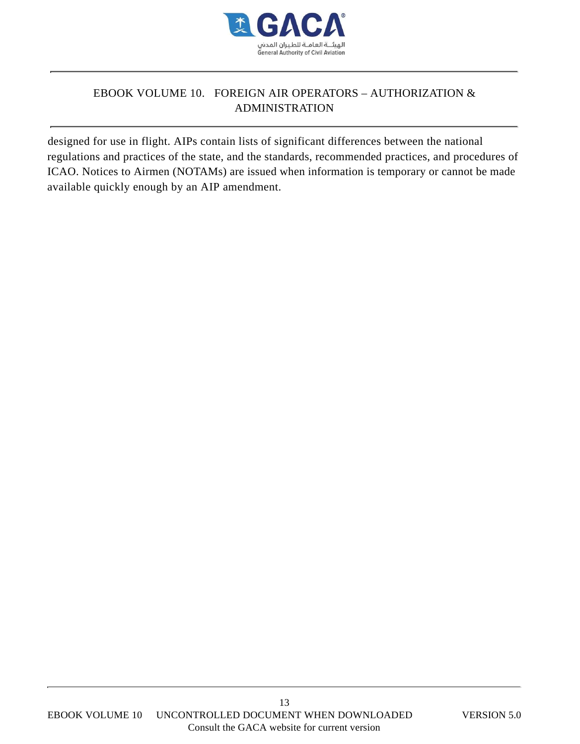

designed for use in flight. AIPs contain lists of significant differences between the national regulations and practices of the state, and the standards, recommended practices, and procedures of ICAO. Notices to Airmen (NOTAMs) are issued when information is temporary or cannot be made available quickly enough by an AIP amendment.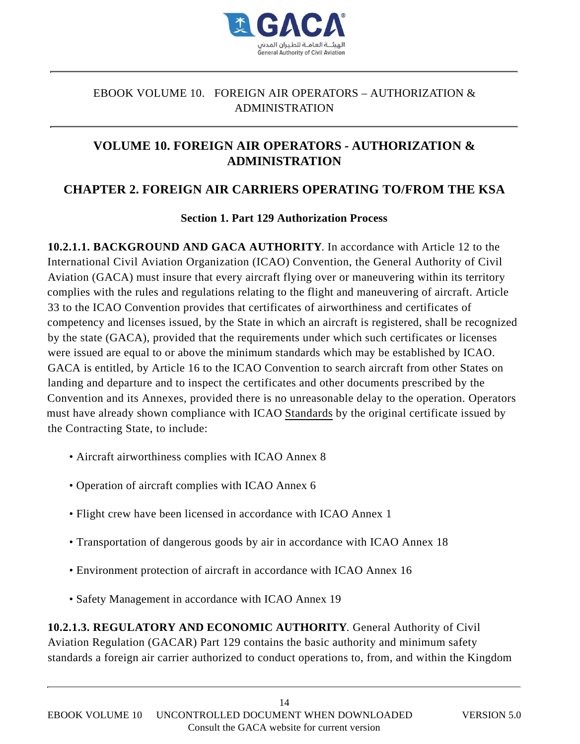

## **VOLUME 10. FOREIGN AIR OPERATORS - AUTHORIZATION & ADMINISTRATION**

## **CHAPTER 2. FOREIGN AIR CARRIERS OPERATING TO/FROM THE KSA**

#### **Section 1. Part 129 Authorization Process**

**10.2.1.1. BACKGROUND AND GACA AUTHORITY**. In accordance with Article 12 to the International Civil Aviation Organization (ICAO) Convention, the General Authority of Civil Aviation (GACA) must insure that every aircraft flying over or maneuvering within its territory complies with the rules and regulations relating to the flight and maneuvering of aircraft. Article 33 to the ICAO Convention provides that certificates of airworthiness and certificates of competency and licenses issued, by the State in which an aircraft is registered, shall be recognized by the state (GACA), provided that the requirements under which such certificates or licenses were issued are equal to or above the minimum standards which may be established by ICAO. GACA is entitled, by Article 16 to the ICAO Convention to search aircraft from other States on landing and departure and to inspect the certificates and other documents prescribed by the Convention and its Annexes, provided there is no unreasonable delay to the operation. Operators must have already shown compliance with ICAO Standards by the original certificate issued by the Contracting State, to include:

- Aircraft airworthiness complies with ICAO Annex 8
- Operation of aircraft complies with ICAO Annex 6
- Flight crew have been licensed in accordance with ICAO Annex 1
- Transportation of dangerous goods by air in accordance with ICAO Annex 18
- Environment protection of aircraft in accordance with ICAO Annex 16
- Safety Management in accordance with ICAO Annex 19

**10.2.1.3. REGULATORY AND ECONOMIC AUTHORITY**. General Authority of Civil Aviation Regulation (GACAR) Part 129 contains the basic authority and minimum safety standards a foreign air carrier authorized to conduct operations to, from, and within the Kingdom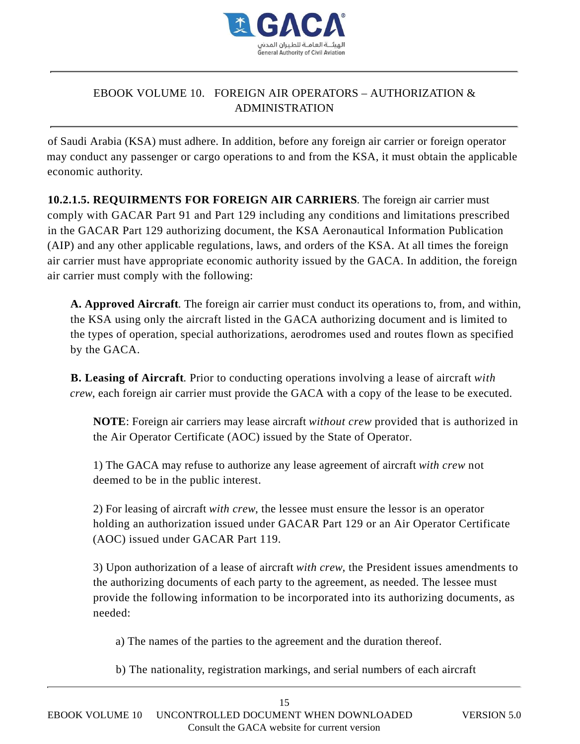

of Saudi Arabia (KSA) must adhere. In addition, before any foreign air carrier or foreign operator may conduct any passenger or cargo operations to and from the KSA, it must obtain the applicable economic authority.

**10.2.1.5. REQUIRMENTS FOR FOREIGN AIR CARRIERS**. The foreign air carrier must comply with GACAR Part 91 and Part 129 including any conditions and limitations prescribed in the GACAR Part 129 authorizing document, the KSA Aeronautical Information Publication (AIP) and any other applicable regulations, laws, and orders of the KSA. At all times the foreign air carrier must have appropriate economic authority issued by the GACA. In addition, the foreign air carrier must comply with the following:

**A. Approved Aircraft**. The foreign air carrier must conduct its operations to, from, and within, the KSA using only the aircraft listed in the GACA authorizing document and is limited to the types of operation, special authorizations, aerodromes used and routes flown as specified by the GACA.

**B. Leasing of Aircraft**. Prior to conducting operations involving a lease of aircraft *with crew*, each foreign air carrier must provide the GACA with a copy of the lease to be executed.

**NOTE**: Foreign air carriers may lease aircraft *without crew* provided that is authorized in the Air Operator Certificate (AOC) issued by the State of Operator.

1) The GACA may refuse to authorize any lease agreement of aircraft *with crew* not deemed to be in the public interest.

2) For leasing of aircraft *with crew*, the lessee must ensure the lessor is an operator holding an authorization issued under GACAR Part 129 or an Air Operator Certificate (AOC) issued under GACAR Part 119.

3) Upon authorization of a lease of aircraft *with crew*, the President issues amendments to the authorizing documents of each party to the agreement, as needed. The lessee must provide the following information to be incorporated into its authorizing documents, as needed:

a) The names of the parties to the agreement and the duration thereof.

b) The nationality, registration markings, and serial numbers of each aircraft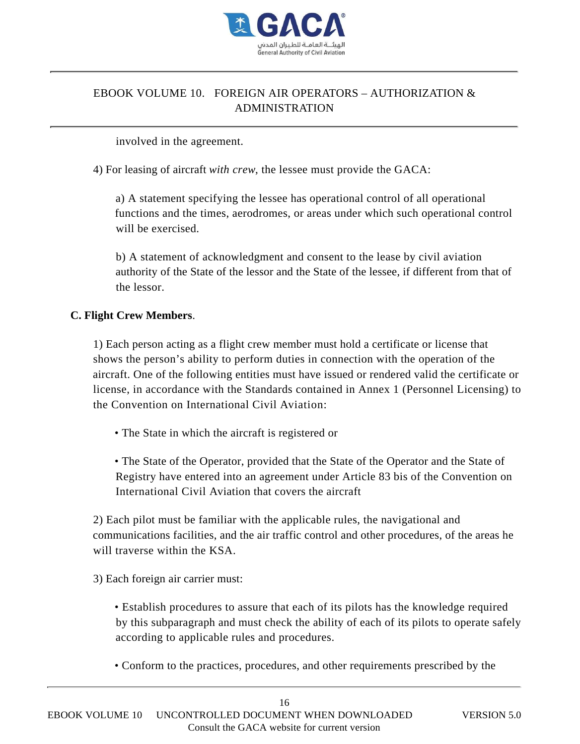

involved in the agreement.

4) For leasing of aircraft *with crew*, the lessee must provide the GACA:

a) A statement specifying the lessee has operational control of all operational functions and the times, aerodromes, or areas under which such operational control will be exercised.

b) A statement of acknowledgment and consent to the lease by civil aviation authority of the State of the lessor and the State of the lessee, if different from that of the lessor.

#### **C. Flight Crew Members**.

1) Each person acting as a flight crew member must hold a certificate or license that shows the person's ability to perform duties in connection with the operation of the aircraft. One of the following entities must have issued or rendered valid the certificate or license, in accordance with the Standards contained in Annex 1 (Personnel Licensing) to the Convention on International Civil Aviation:

- The State in which the aircraft is registered or
- The State of the Operator, provided that the State of the Operator and the State of Registry have entered into an agreement under Article 83 bis of the Convention on International Civil Aviation that covers the aircraft

2) Each pilot must be familiar with the applicable rules, the navigational and communications facilities, and the air traffic control and other procedures, of the areas he will traverse within the KSA.

3) Each foreign air carrier must:

• Establish procedures to assure that each of its pilots has the knowledge required by this subparagraph and must check the ability of each of its pilots to operate safely according to applicable rules and procedures.

• Conform to the practices, procedures, and other requirements prescribed by the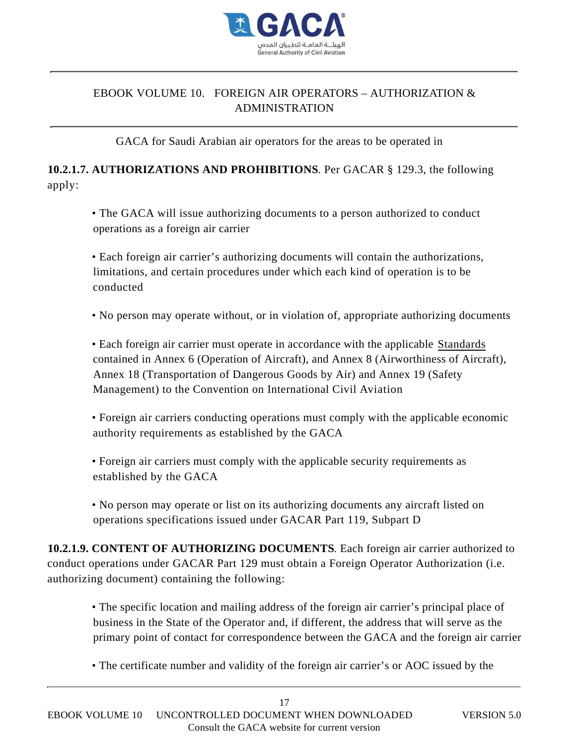

GACA for Saudi Arabian air operators for the areas to be operated in

**10.2.1.7. AUTHORIZATIONS AND PROHIBITIONS**. Per GACAR § 129.3, the following apply:

• The GACA will issue authorizing documents to a person authorized to conduct operations as a foreign air carrier

• Each foreign air carrier's authorizing documents will contain the authorizations, limitations, and certain procedures under which each kind of operation is to be conducted

• No person may operate without, or in violation of, appropriate authorizing documents

• Each foreign air carrier must operate in accordance with the applicable Standards contained in Annex 6 (Operation of Aircraft), and Annex 8 (Airworthiness of Aircraft), Annex 18 (Transportation of Dangerous Goods by Air) and Annex 19 (Safety Management) to the Convention on International Civil Aviation

- Foreign air carriers conducting operations must comply with the applicable economic authority requirements as established by the GACA
- Foreign air carriers must comply with the applicable security requirements as established by the GACA
- No person may operate or list on its authorizing documents any aircraft listed on operations specifications issued under GACAR Part 119, Subpart D

**10.2.1.9. CONTENT OF AUTHORIZING DOCUMENTS**. Each foreign air carrier authorized to conduct operations under GACAR Part 129 must obtain a Foreign Operator Authorization (i.e. authorizing document) containing the following:

• The specific location and mailing address of the foreign air carrier's principal place of business in the State of the Operator and, if different, the address that will serve as the primary point of contact for correspondence between the GACA and the foreign air carrier

• The certificate number and validity of the foreign air carrier's or AOC issued by the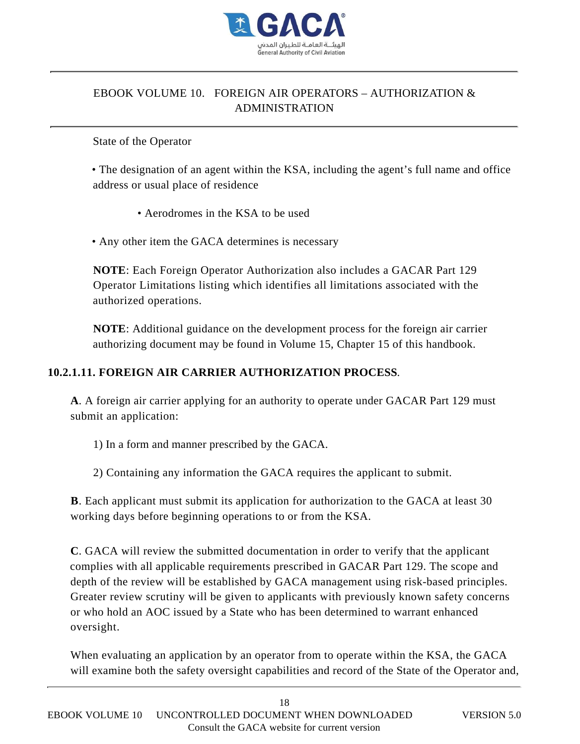

State of the Operator

• The designation of an agent within the KSA, including the agent's full name and office address or usual place of residence

- Aerodromes in the KSA to be used
- Any other item the GACA determines is necessary

**NOTE**: Each Foreign Operator Authorization also includes a GACAR Part 129 Operator Limitations listing which identifies all limitations associated with the authorized operations.

**NOTE**: Additional guidance on the development process for the foreign air carrier authorizing document may be found in Volume 15, Chapter 15 of this handbook.

### **10.2.1.11. FOREIGN AIR CARRIER AUTHORIZATION PROCESS**.

**A**. A foreign air carrier applying for an authority to operate under GACAR Part 129 must submit an application:

1) In a form and manner prescribed by the GACA.

2) Containing any information the GACA requires the applicant to submit.

**B**. Each applicant must submit its application for authorization to the GACA at least 30 working days before beginning operations to or from the KSA.

**C**. GACA will review the submitted documentation in order to verify that the applicant complies with all applicable requirements prescribed in GACAR Part 129. The scope and depth of the review will be established by GACA management using risk-based principles. Greater review scrutiny will be given to applicants with previously known safety concerns or who hold an AOC issued by a State who has been determined to warrant enhanced oversight.

When evaluating an application by an operator from to operate within the KSA, the GACA will examine both the safety oversight capabilities and record of the State of the Operator and,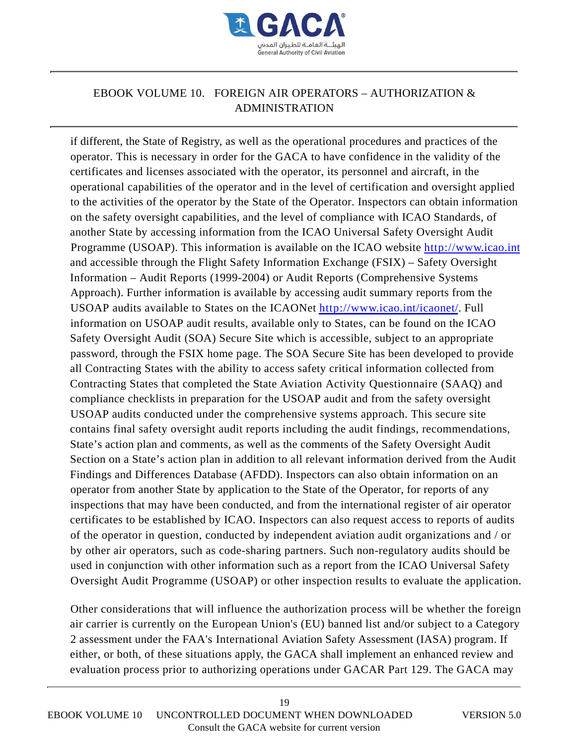

if different, the State of Registry, as well as the operational procedures and practices of the operator. This is necessary in order for the GACA to have confidence in the validity of the certificates and licenses associated with the operator, its personnel and aircraft, in the operational capabilities of the operator and in the level of certification and oversight applied to the activities of the operator by the State of the Operator. Inspectors can obtain information on the safety oversight capabilities, and the level of compliance with ICAO Standards, of another State by accessing information from the ICAO Universal Safety Oversight Audit Programme (USOAP). This information is available on the ICAO website http://www.icao.int and accessible through the Flight Safety Information Exchange (FSIX) – Safety Oversight Information – Audit Reports (1999-2004) or Audit Reports (Comprehensive Systems Approach). Further information is available by accessing audit summary reports from the USOAP audits available to States on the ICAONet http://www.icao.int/icaonet/. Full information on USOAP audit results, available only to States, can be found on the ICAO Safety Oversight Audit (SOA) Secure Site which is accessible, subject to an appropriate password, through the FSIX home page. The SOA Secure Site has been developed to provide all Contracting States with the ability to access safety critical information collected from Contracting States that completed the State Aviation Activity Questionnaire (SAAQ) and compliance checklists in preparation for the USOAP audit and from the safety oversight USOAP audits conducted under the comprehensive systems approach. This secure site contains final safety oversight audit reports including the audit findings, recommendations, State's action plan and comments, as well as the comments of the Safety Oversight Audit Section on a State's action plan in addition to all relevant information derived from the Audit Findings and Differences Database (AFDD). Inspectors can also obtain information on an operator from another State by application to the State of the Operator, for reports of any inspections that may have been conducted, and from the international register of air operator certificates to be established by ICAO. Inspectors can also request access to reports of audits of the operator in question, conducted by independent aviation audit organizations and / or by other air operators, such as code-sharing partners. Such non-regulatory audits should be used in conjunction with other information such as a report from the ICAO Universal Safety Oversight Audit Programme (USOAP) or other inspection results to evaluate the application.

Other considerations that will influence the authorization process will be whether the foreign air carrier is currently on the European Union's (EU) banned list and/or subject to a Category 2 assessment under the FAA's International Aviation Safety Assessment (IASA) program. If either, or both, of these situations apply, the GACA shall implement an enhanced review and evaluation process prior to authorizing operations under GACAR Part 129. The GACA may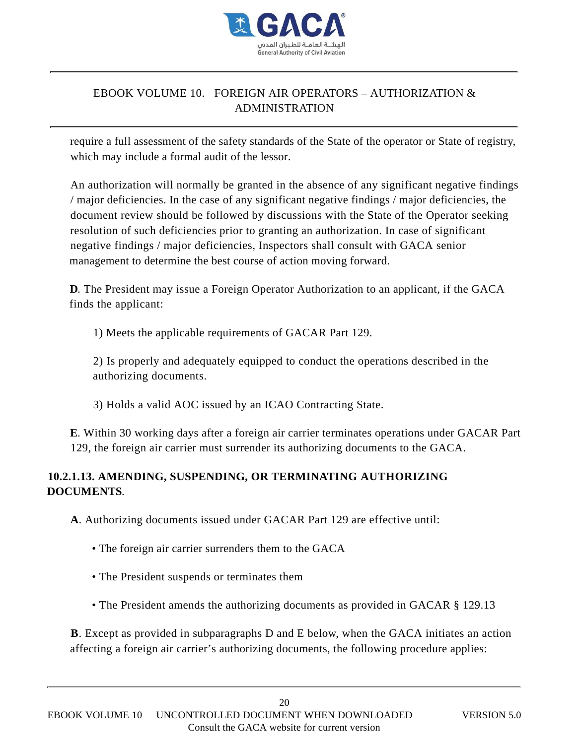

require a full assessment of the safety standards of the State of the operator or State of registry, which may include a formal audit of the lessor.

An authorization will normally be granted in the absence of any significant negative findings / major deficiencies. In the case of any significant negative findings / major deficiencies, the document review should be followed by discussions with the State of the Operator seeking resolution of such deficiencies prior to granting an authorization. In case of significant negative findings / major deficiencies, Inspectors shall consult with GACA senior management to determine the best course of action moving forward.

**D**. The President may issue a Foreign Operator Authorization to an applicant, if the GACA finds the applicant:

1) Meets the applicable requirements of GACAR Part 129.

2) Is properly and adequately equipped to conduct the operations described in the authorizing documents.

3) Holds a valid AOC issued by an ICAO Contracting State.

**E**. Within 30 working days after a foreign air carrier terminates operations under GACAR Part 129, the foreign air carrier must surrender its authorizing documents to the GACA.

## **10.2.1.13. AMENDING, SUSPENDING, OR TERMINATING AUTHORIZING DOCUMENTS**.

**A**. Authorizing documents issued under GACAR Part 129 are effective until:

- The foreign air carrier surrenders them to the GACA
- The President suspends or terminates them
- The President amends the authorizing documents as provided in GACAR § 129.13

**B**. Except as provided in subparagraphs D and E below, when the GACA initiates an action affecting a foreign air carrier's authorizing documents, the following procedure applies: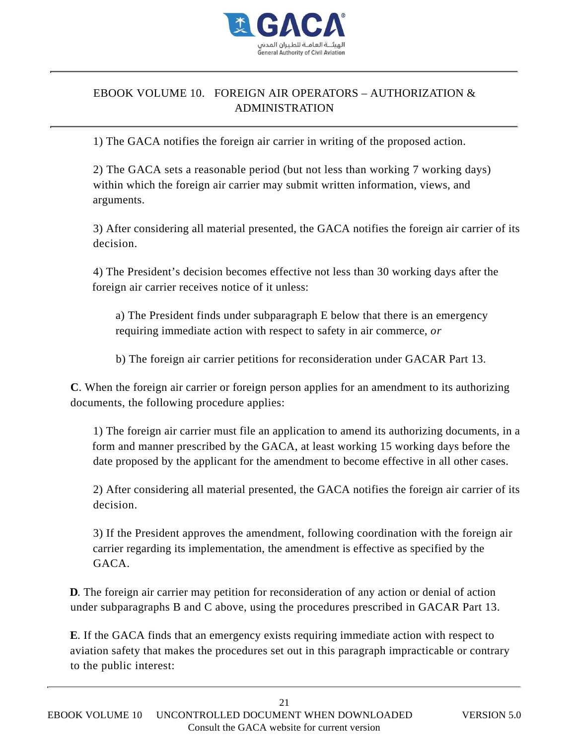

1) The GACA notifies the foreign air carrier in writing of the proposed action.

2) The GACA sets a reasonable period (but not less than working 7 working days) within which the foreign air carrier may submit written information, views, and arguments.

3) After considering all material presented, the GACA notifies the foreign air carrier of its decision.

4) The President's decision becomes effective not less than 30 working days after the foreign air carrier receives notice of it unless:

a) The President finds under subparagraph E below that there is an emergency requiring immediate action with respect to safety in air commerce, *or*

b) The foreign air carrier petitions for reconsideration under GACAR Part 13.

**C**. When the foreign air carrier or foreign person applies for an amendment to its authorizing documents, the following procedure applies:

1) The foreign air carrier must file an application to amend its authorizing documents, in a form and manner prescribed by the GACA, at least working 15 working days before the date proposed by the applicant for the amendment to become effective in all other cases.

2) After considering all material presented, the GACA notifies the foreign air carrier of its decision.

3) If the President approves the amendment, following coordination with the foreign air carrier regarding its implementation, the amendment is effective as specified by the GACA.

**D**. The foreign air carrier may petition for reconsideration of any action or denial of action under subparagraphs B and C above, using the procedures prescribed in GACAR Part 13.

**E**. If the GACA finds that an emergency exists requiring immediate action with respect to aviation safety that makes the procedures set out in this paragraph impracticable or contrary to the public interest: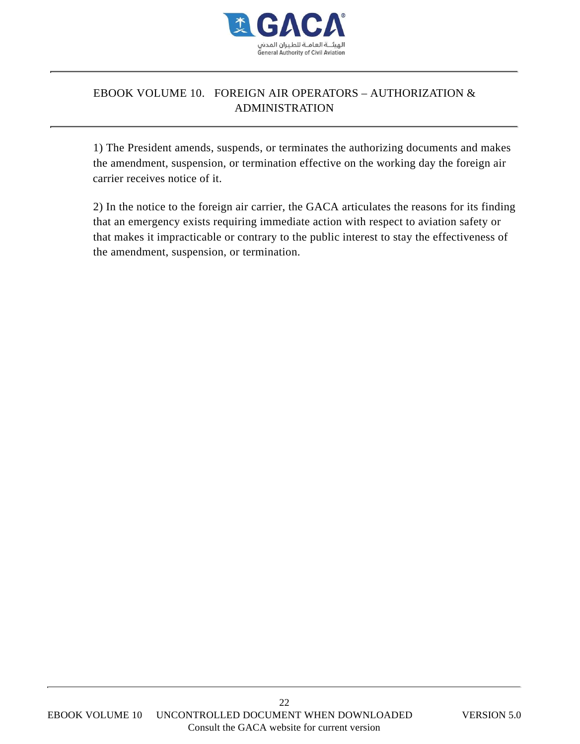

1) The President amends, suspends, or terminates the authorizing documents and makes the amendment, suspension, or termination effective on the working day the foreign air carrier receives notice of it.

2) In the notice to the foreign air carrier, the GACA articulates the reasons for its finding that an emergency exists requiring immediate action with respect to aviation safety or that makes it impracticable or contrary to the public interest to stay the effectiveness of the amendment, suspension, or termination.